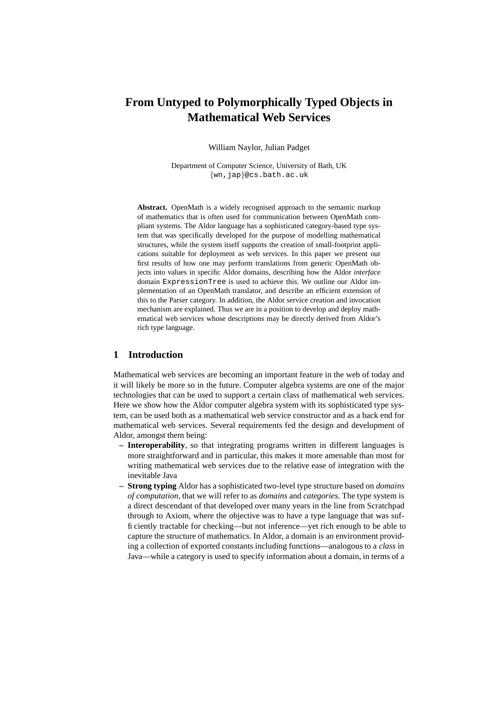# **From Untyped to Polymorphically Typed Objects in Mathematical Web Services**

William Naylor, Julian Padget

Department of Computer Science, University of Bath, UK {wn,jap}@cs.bath.ac.uk

**Abstract.** OpenMath is a widely recognised approach to the semantic markup of mathematics that is often used for communication between OpenMath compliant systems. The Aldor language has a sophisticated category-based type system that was specifically developed for the purpose of modelling mathematical structures, while the system itself supports the creation of small-footprint applications suitable for deployment as web services. In this paper we present our first results of how one may perform translations from generic OpenMath objects into values in specific Aldor domains, describing how the Aldor *interface* domain ExpressionTree is used to achieve this. We outline our Aldor implementation of an OpenMath translator, and describe an efficient extension of this to the Parser category. In addition, the Aldor service creation and invocation mechanism are explained. Thus we are in a position to develop and deploy mathematical web services whose descriptions may be directly derived from Aldor's rich type language.

# **1 Introduction**

Mathematical web services are becoming an important feature in the web of today and it will likely be more so in the future. Computer algebra systems are one of the major technologies that can be used to support a certain class of mathematical web services. Here we show how the Aldor computer algebra system with its sophisticated type system, can be used both as a mathematical web service constructor and as a back end for mathematical web services. Several requirements fed the design and development of Aldor, amongst them being:

- **– Interoperability**, so that integrating programs written in different languages is more straightforward and in particular, this makes it more amenable than most for writing mathematical web services due to the relative ease of integration with the inevitable Java
- **– Strong typing** Aldor has a sophisticated two-level type structure based on *domains of computation*, that we will refer to as *domains* and *categories*. The type system is a direct descendant of that developed over many years in the line from Scratchpad through to Axiom, where the objective was to have a type language that was sufficiently tractable for checking—but not inference—yet rich enough to be able to capture the structure of mathematics. In Aldor, a domain is an environment providing a collection of exported constants including functions—analogous to a *class* in Java—while a category is used to specify information about a domain, in terms of a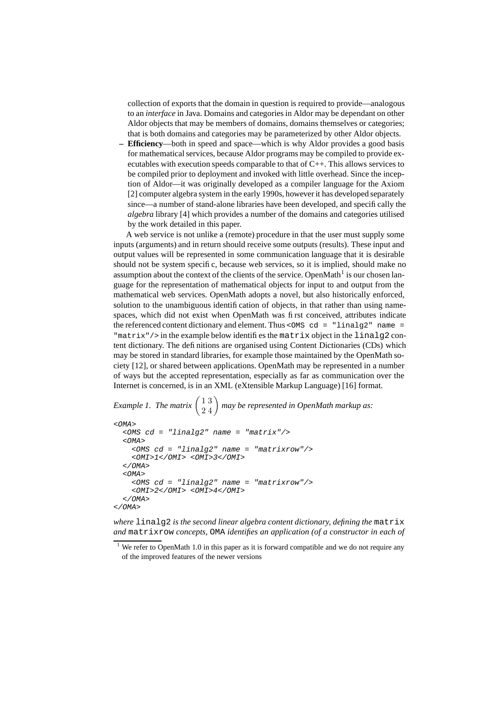collection of exports that the domain in question is required to provide—analogous to an *interface* in Java. Domains and categories in Aldor may be dependant on other Aldor objects that may be members of domains, domains themselves or categories; that is both domains and categories may be parameterized by other Aldor objects.

**Efficiency—both** in speed and space—which is why Aldor provides a good basis for mathematical services, because Aldor programs may be compiled to provide executables with execution speeds comparable to that of C++. This allows services to be compiled prior to deployment and invoked with little overhead. Since the inception of Aldor—it was originally developed as a compiler language for the Axiom [2] computer algebra system in the early 1990s, however it has developed separately since—a number of stand-alone libraries have been developed, and specifically the *algebra* library [4] which provides a number of the domains and categories utilised by the work detailed in this paper.

A web service is not unlike a (remote) procedure in that the user must supply some inputs (arguments) and in return should receive some outputs (results). These input and output values will be represented in some communication language that it is desirable should not be system specific, because web services, so it is implied, should make no assumption about the context of the clients of the service. OpenMath $^1$  is our chosen language for the representation of mathematical objects for input to and output from the mathematical web services. OpenMath adopts a novel, but also historically enforced, solution to the unambiguous identification of objects, in that rather than using namespaces, which did not exist when OpenMath was first conceived, attributes indicate the referenced content dictionary and element. Thus < $\cos$  cd = "linalg2" name = "matrix"/> in the example below identifies the matrix object in the linalg2 content dictionary. The definitions are organised using Content Dictionaries (CDs) which may be stored in standard libraries, for example those maintained by the OpenMath society [12], or shared between applications. OpenMath may be represented in a number of ways but the accepted representation, especially as far as communication over the Internet is concerned, is in an XML (eXtensible Markup Language) [16] format.

```
Example 1. The matrix \begin{pmatrix} 1 & 3 \\ 2 & 4 \end{pmatrix}2 4

may be represented in OpenMath markup as:
<OMA
```

```
<OMS cd = "linalg2" name = "matrix"/>
 \leq OMA<OMS cd = "linalg2" name = "matrixrow"/>
    <OMI>1</OMI> <OMI>3</OMI>
  </OMA>
  < OMA ><OMS cd = "linalg2" name = "matrixrow"/>
    <OMI>2</OMI> <OMI>4</OMI>
  </OMA>
\langle / OMA >
```
*where* linalg2 *is the second linear algebra content dictionary, defining the* matrix *and* matrixrow *concepts,* OMA *identifies an application (of a constructor in each of*

<sup>&</sup>lt;sup>1</sup> We refer to OpenMath 1.0 in this paper as it is forward compatible and we do not require any of the improved features of the newer versions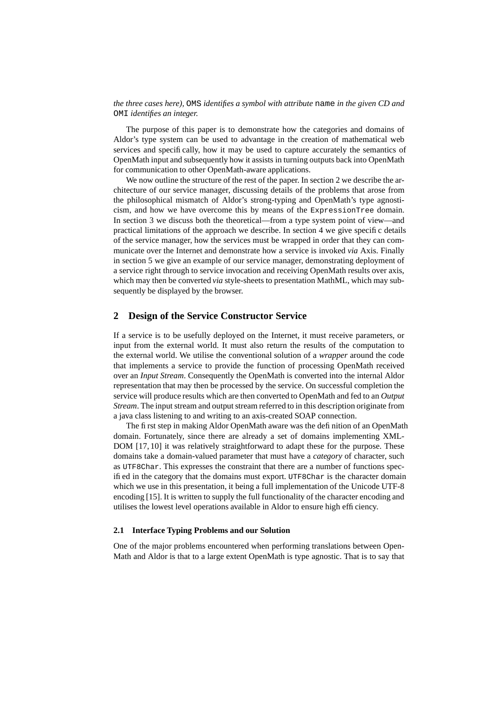### *the three cases here),* OMS *identifies a symbol with attribute* name *in the given CD and* OMI *identifies an integer.*

The purpose of this paper is to demonstrate how the categories and domains of Aldor's type system can be used to advantage in the creation of mathematical web services and specifically, how it may be used to capture accurately the semantics of OpenMath input and subsequently how it assists in turning outputs back into OpenMath for communication to other OpenMath-aware applications.

We now outline the structure of the rest of the paper. In section 2 we describe the architecture of our service manager, discussing details of the problems that arose from the philosophical mismatch of Aldor's strong-typing and OpenMath's type agnosticism, and how we have overcome this by means of the ExpressionTree domain. In section 3 we discuss both the theoretical—from a type system point of view—and practical limitations of the approach we describe. In section 4 we give specific details of the service manager, how the services must be wrapped in order that they can communicate over the Internet and demonstrate how a service is invoked *via* Axis. Finally in section 5 we give an example of our service manager, demonstrating deployment of a service right through to service invocation and receiving OpenMath results over axis, which may then be converted *via* style-sheets to presentation MathML, which may subsequently be displayed by the browser.

### **2 Design of the Service Constructor Service**

If a service is to be usefully deployed on the Internet, it must receive parameters, or input from the external world. It must also return the results of the computation to the external world. We utilise the conventional solution of a *wrapper* around the code that implements a service to provide the function of processing OpenMath received over an *Input Stream*. Consequently the OpenMath is converted into the internal Aldor representation that may then be processed by the service. On successful completion the service will produce results which are then converted to OpenMath and fed to an *Output Stream*. The input stream and output stream referred to in this description originate from a java class listening to and writing to an axis-created SOAP connection.

The first step in making Aldor OpenMath aware was the definition of an OpenMath domain. Fortunately, since there are already a set of domains implementing XML-DOM [17, 10] it was relatively straightforward to adapt these for the purpose. These domains take a domain-valued parameter that must have a *category* of character, such as UTF8Char. This expresses the constraint that there are a number of functions specified in the category that the domains must export. UTF8Char is the character domain which we use in this presentation, it being a full implementation of the Unicode UTF-8 encoding [15]. It is written to supply the full functionality of the character encoding and utilises the lowest level operations available in Aldor to ensure high efficiency.

### **2.1 Interface Typing Problems and our Solution**

One of the major problems encountered when performing translations between Open-Math and Aldor is that to a large extent OpenMath is type agnostic. That is to say that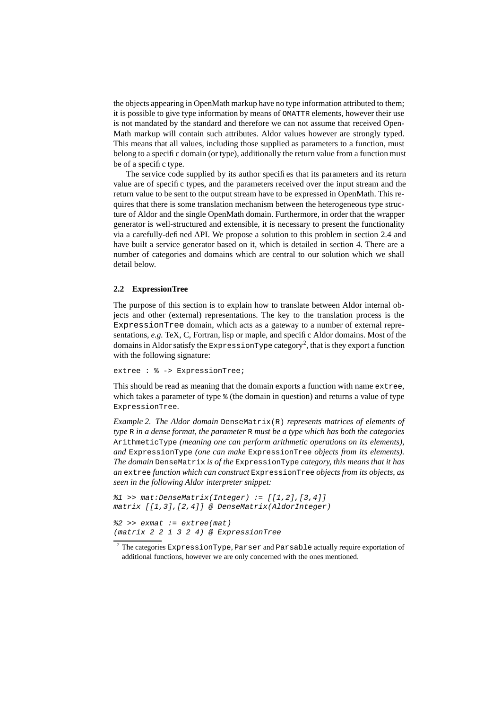the objects appearing in OpenMath markup have no type information attributed to them; it is possible to give type information by means of OMATTR elements, however their use is not mandated by the standard and therefore we can not assume that received Open-Math markup will contain such attributes. Aldor values however are strongly typed. This means that all values, including those supplied as parameters to a function, must belong to a specific domain (or type), additionally the return value from a function must be of a specific type.

The service code supplied by its author specifies that its parameters and its return value are of specific types, and the parameters received over the input stream and the return value to be sent to the output stream have to be expressed in OpenMath. This requires that there is some translation mechanism between the heterogeneous type structure of Aldor and the single OpenMath domain. Furthermore, in order that the wrapper generator is well-structured and extensible, it is necessary to present the functionality via a carefully-defined API. We propose a solution to this problem in section 2.4 and have built a service generator based on it, which is detailed in section 4. There are a number of categories and domains which are central to our solution which we shall detail below.

#### **2.2 ExpressionTree**

The purpose of this section is to explain how to translate between Aldor internal objects and other (external) representations. The key to the translation process is the ExpressionTree domain, which acts as a gateway to a number of external representations, *e.g.* TeX, C, Fortran, lisp or maple, and specific Aldor domains. Most of the domains in Aldor satisfy the  $\mathtt{ExpressionType}$  category $^2$ , that is they export a function with the following signature:

extree : % -> ExpressionTree;

This should be read as meaning that the domain exports a function with name extree, which takes a parameter of type % (the domain in question) and returns a value of type ExpressionTree.

*Example 2. The Aldor domain* DenseMatrix(R) *represents matrices of elements of type* R *in a dense format, the parameter* R *must be a type which has both the categories* ArithmeticType *(meaning one can perform arithmetic operations on its elements), and* ExpressionType *(one can make* ExpressionTree *objects from its elements). The domain* DenseMatrix *is of the* ExpressionType *category, this means that it has an* extree *function which can construct* ExpressionTree *objects from its objects, as seen in the following Aldor interpreter snippet:*

```
%1 >> mat:DenseMatrix(Integer) := [[1,2],[3,4]]
matrix [[1,3],[2,4]] @ DenseMatrix(AldorInteger)
2 >> exmat := extree(mat)
```
<sup>(</sup>matrix 2 2 1 3 2 4) @ ExpressionTree

<sup>2</sup> The categories ExpressionType, Parser and Parsable actually require exportation of additional functions, however we are only concerned with the ones mentioned.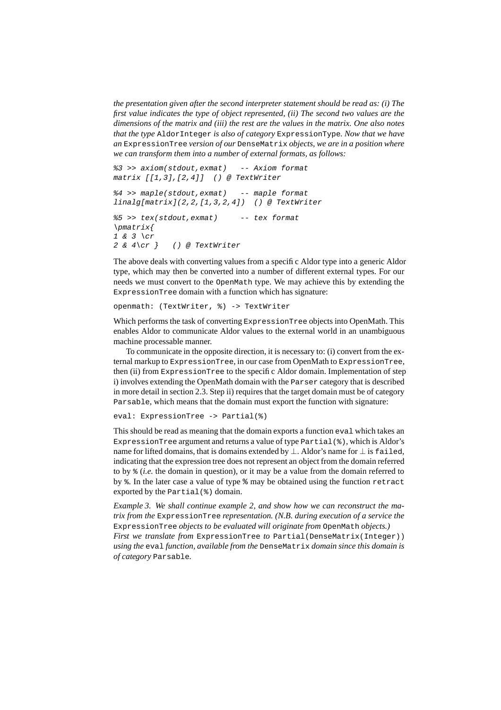*the presentation given after the second interpreter statement should be read as: (i) The first value indicates the type of object represented, (ii) The second two values are the dimensions of the matrix and (iii) the rest are the values in the matrix. One also notes that the type* AldorInteger *is also of category* ExpressionType*. Now that we have an* ExpressionTree *version of our* DenseMatrix *objects, we are in a position where we can transform them into a number of external formats, as follows:*

```
%3 >> axiom(stdout,exmat) -- Axiom format
matrix [[1,3],[2,4]] () @ TextWriter
%4 >> maple(stdout,exmat) -- maple format
linalg[matrix](2,2,[1,3,2,4]) () @ TextWriter
%5 >> tex(stdout,exmat) -- tex format
\pmatrix{
1 \& 3 \ \sqrt{cr}2 \& 4\cr r () @ TextWriter
```
The above deals with converting values from a specific Aldor type into a generic Aldor type, which may then be converted into a number of different external types. For our needs we must convert to the OpenMath type. We may achieve this by extending the ExpressionTree domain with a function which has signature:

openmath: (TextWriter, %) -> TextWriter

Which performs the task of converting ExpressionTree objects into OpenMath. This enables Aldor to communicate Aldor values to the external world in an unambiguous machine processable manner.

To communicate in the opposite direction, it is necessary to: (i) convert from the external markup to ExpressionTree, in our case from OpenMath to ExpressionTree, then (ii) from ExpressionTree to the specific Aldor domain. Implementation of step i) involves extending the OpenMath domain with the Parser category that is described in more detail in section 2.3. Step ii) requires that the target domain must be of category Parsable, which means that the domain must export the function with signature:

```
eval: ExpressionTree -> Partial(%)
```
This should be read as meaning that the domain exports a function eval which takes an ExpressionTree argument and returns a value of type Partial(%), which is Aldor's name for lifted domains, that is domains extended by  $\bot$ . Aldor's name for  $\bot$  is failed, indicating that the expression tree does not represent an object from the domain referred to by % (*i.e.* the domain in question), or it may be a value from the domain referred to by %. In the later case a value of type % may be obtained using the function retract exported by the Partial(%) domain.

*Example 3. We shall continue example 2, and show how we can reconstruct the matrix from the* ExpressionTree *representation. (N.B. during execution of a service the* ExpressionTree *objects to be evaluated will originate from* OpenMath *objects.) First we translate from* ExpressionTree *to* Partial(DenseMatrix(Integer)) *using the* eval *function, available from the* DenseMatrix *domain since this domain is of category* Parsable*.*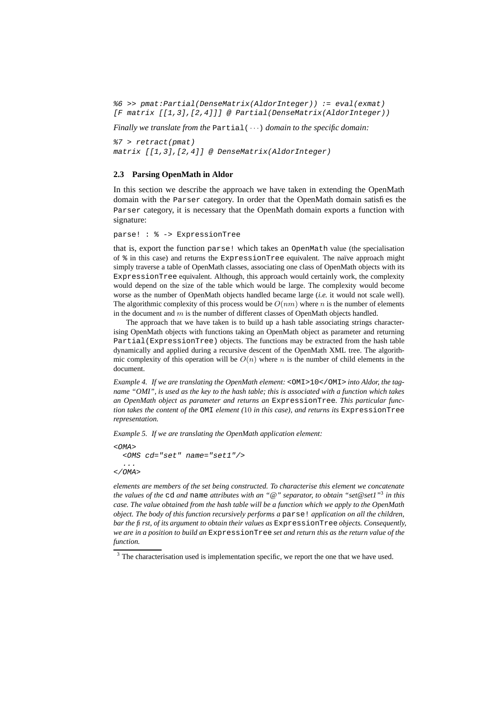%6 >> pmat:Partial(DenseMatrix(AldorInteger)) := eval(exmat) [F matrix [[1,3],[2,4]]] @ Partial(DenseMatrix(AldorInteger))

*Finally* we *translate from the*  $Partial(\cdots)$  *domain to the specific domain:* 

%7 > retract(pmat) matrix [[1,3],[2,4]] @ DenseMatrix(AldorInteger)

#### **2.3 Parsing OpenMath in Aldor**

In this section we describe the approach we have taken in extending the OpenMath domain with the Parser category. In order that the OpenMath domain satisfies the Parser category, it is necessary that the OpenMath domain exports a function with signature:

```
parse! : % -> ExpressionTree
```
that is, export the function parse! which takes an OpenMath value (the specialisation of % in this case) and returns the ExpressionTree equivalent. The na¨ıve approach might simply traverse a table of OpenMath classes, associating one class of OpenMath objects with its ExpressionTree equivalent. Although, this approach would certainly work, the complexity would depend on the size of the table which would be large. The complexity would become worse as the number of OpenMath objects handled became large (*i.e.* it would not scale well). The algorithmic complexity of this process would be  $O(nm)$  where n is the number of elements in the document and  $m$  is the number of different classes of OpenMath objects handled.

The approach that we have taken is to build up a hash table associating strings characterising OpenMath objects with functions taking an OpenMath object as parameter and returning Partial(ExpressionTree) objects. The functions may be extracted from the hash table dynamically and applied during a recursive descent of the OpenMath XML tree. The algorithmic complexity of this operation will be  $O(n)$  where n is the number of child elements in the document.

*Example 4. If we are translating the OpenMath element:* <OMI>10</OMI> *into Aldor, the tag*name "OMI", is used as the key to the hash table; this is associated with a function which takes *an OpenMath object as parameter and returns an* ExpressionTree*. This particular function takes the content of the* OMI *element (*10 *in this case), and returns its* ExpressionTree *representation.*

*Example 5. If we are translating the OpenMath application element:*

```
<OMA>
 <OMS cd="set" name="set1"/>
  ...
</OMA>
```
*elements are members of the set being constructed. To characterise this element we concatenate the values of the* cd *and* name *attributes with an "@" separator, to obtain "set@set1"*<sup>3</sup> *in this case. The value obtained from the hash table will be a function which we apply to the OpenMath object. The body of this function recursively performs a* parse! *application on all the children, bar the first, of its argument to obtain their values as* ExpressionTree *objects. Consequently, we are in a position to build an* ExpressionTree *set and return this as the return value of the function.*

<sup>&</sup>lt;sup>3</sup> The characterisation used is implementation specific, we report the one that we have used.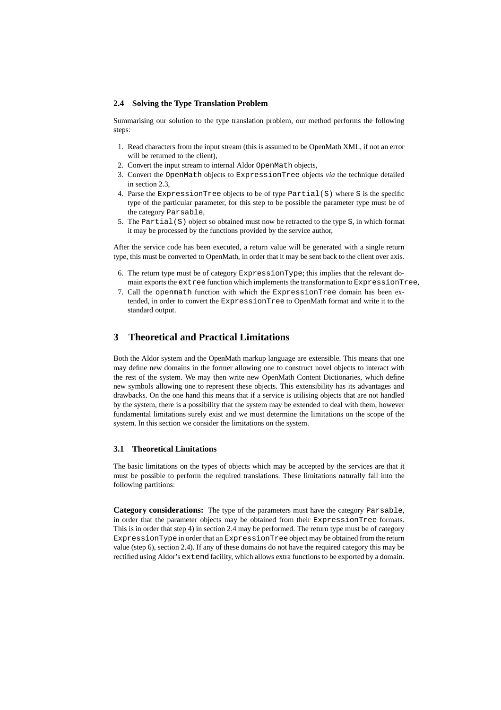#### **2.4 Solving the Type Translation Problem**

Summarising our solution to the type translation problem, our method performs the following steps:

- 1. Read characters from the input stream (this is assumed to be OpenMath XML, if not an error will be returned to the client),
- 2. Convert the input stream to internal Aldor OpenMath objects,
- 3. Convert the OpenMath objects to ExpressionTree objects *via* the technique detailed in section 2.3,
- 4. Parse the ExpressionTree objects to be of type Partial(S) where S is the specific type of the particular parameter, for this step to be possible the parameter type must be of the category Parsable,
- 5. The Partial(S) object so obtained must now be retracted to the type S, in which format it may be processed by the functions provided by the service author,

After the service code has been executed, a return value will be generated with a single return type, this must be converted to OpenMath, in order that it may be sent back to the client over axis.

- 6. The return type must be of category ExpressionType; this implies that the relevant domain exports the extree function which implements the transformation to ExpressionTree,
- 7. Call the openmath function with which the ExpressionTree domain has been extended, in order to convert the ExpressionTree to OpenMath format and write it to the standard output.

# **3 Theoretical and Practical Limitations**

Both the Aldor system and the OpenMath markup language are extensible. This means that one may define new domains in the former allowing one to construct novel objects to interact with the rest of the system. We may then write new OpenMath Content Dictionaries, which define new symbols allowing one to represent these objects. This extensibility has its advantages and drawbacks. On the one hand this means that if a service is utilising objects that are not handled by the system, there is a possibility that the system may be extended to deal with them, however fundamental limitations surely exist and we must determine the limitations on the scope of the system. In this section we consider the limitations on the system.

#### **3.1 Theoretical Limitations**

The basic limitations on the types of objects which may be accepted by the services are that it must be possible to perform the required translations. These limitations naturally fall into the following partitions:

**Category considerations:** The type of the parameters must have the category Parsable, in order that the parameter objects may be obtained from their ExpressionTree formats. This is in order that step 4) in section 2.4 may be performed. The return type must be of category ExpressionType in order that an ExpressionTree object may be obtained from the return value (step 6), section 2.4). If any of these domains do not have the required category this may be rectified using Aldor's extend facility, which allows extra functions to be exported by a domain.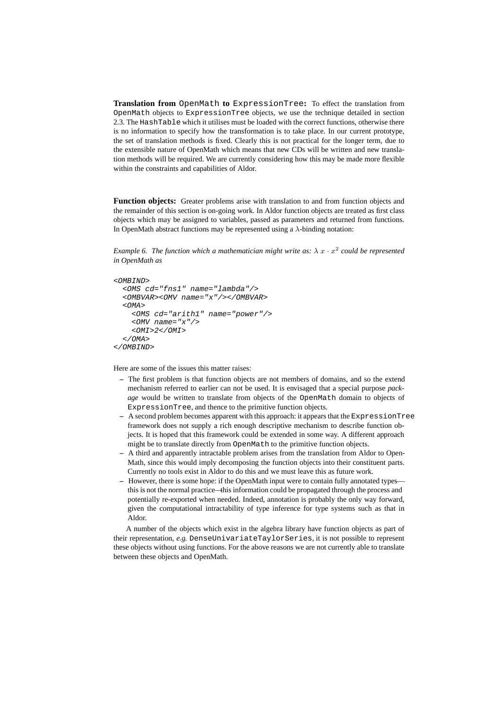**Translation from** OpenMath **to** ExpressionTree**:** To effect the translation from OpenMath objects to ExpressionTree objects, we use the technique detailed in section 2.3. The HashTable which it utilises must be loaded with the correct functions, otherwise there is no information to specify how the transformation is to take place. In our current prototype, the set of translation methods is fixed. Clearly this is not practical for the longer term, due to the extensible nature of OpenMath which means that new CDs will be written and new translation methods will be required. We are currently considering how this may be made more flexible within the constraints and capabilities of Aldor.

**Function objects:** Greater problems arise with translation to and from function objects and the remainder of this section is on-going work. In Aldor function objects are treated as first class objects which may be assigned to variables, passed as parameters and returned from functions. In OpenMath abstract functions may be represented using a  $\lambda$ -binding notation:

*Example* 6. The function which a mathematician might write as:  $\lambda x \cdot x^2$  could be represented *in OpenMath as*

```
<OMBIND>
  <OMS cd="fns1" name="lambda"/>
  <OMBVAR><OMV name="x"/></OMBVAR>
  \leq OMA ><OMS cd="arith1" name="power"/>
    \langle \text{OMV} \rangle name="x"/>
    <OMI>2</OMI>
  \langle / OMA ></OMBIND>
```
Here are some of the issues this matter raises:

- **–** The first problem is that function objects are not members of domains, and so the extend mechanism referred to earlier can not be used. It is envisaged that a special purpose *package* would be written to translate from objects of the OpenMath domain to objects of ExpressionTree, and thence to the primitive function objects.
- **–** A second problem becomes apparent with this approach: it appears that the ExpressionTree framework does not supply a rich enough descriptive mechanism to describe function objects. It is hoped that this framework could be extended in some way. A different approach might be to translate directly from OpenMath to the primitive function objects.
- **–** A third and apparently intractable problem arises from the translation from Aldor to Open-Math, since this would imply decomposing the function objects into their constituent parts. Currently no tools exist in Aldor to do this and we must leave this as future work.
- **–** However, there is some hope: if the OpenMath input were to contain fully annotated types this is not the normal practice—this information could be propagated through the process and potentially re-exported when needed. Indeed, annotation is probably the only way forward, given the computational intractability of type inference for type systems such as that in Aldor.

A number of the objects which exist in the algebra library have function objects as part of their representation, *e.g.* DenseUnivariateTaylorSeries, it is not possible to represent these objects without using functions. For the above reasons we are not currently able to translate between these objects and OpenMath.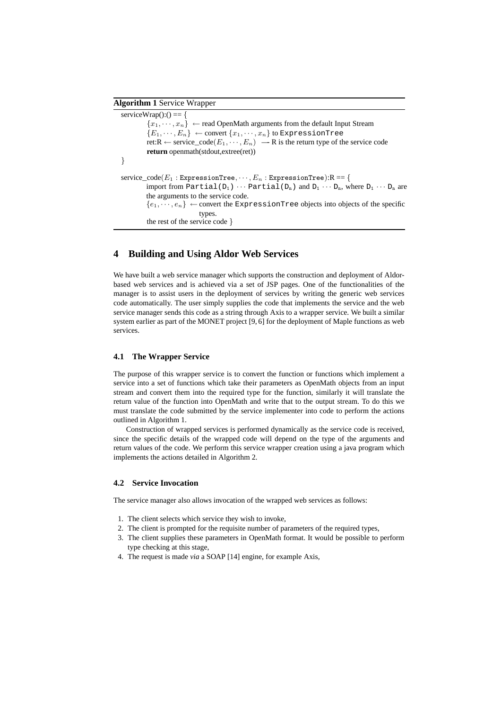**Algorithm 1** Service Wrapper

| serviceWrap():() == {                                                                                |
|------------------------------------------------------------------------------------------------------|
| ${x_1, \dots, x_n} \leftarrow$ read OpenMath arguments from the default Input Stream                 |
| ${E_1, \dots, E_n} \leftarrow$ convert ${x_1, \dots, x_n}$ to Expression Tree                        |
| ret: $R \leftarrow$ service_code $(E_1, \dots, E_n)$ — R is the return type of the service code      |
| <b>return</b> openmath(stdout, extree(ret))                                                          |
|                                                                                                      |
|                                                                                                      |
| service_code( $E_1$ : ExpressionTree, $\cdots$ , $E_n$ : ExpressionTree):R == {                      |
| import from Partial $(D_1) \cdots$ Partial $(D_n)$ and $D_1 \cdots D_n$ , where $D_1 \cdots D_n$ are |
| the arguments to the service code.                                                                   |
| $\{e_1, \dots, e_n\}$ $\leftarrow$ convert the Expression Tree objects into objects of the specific  |
| types.                                                                                               |
| the rest of the service code $\}$                                                                    |

# **4 Building and Using Aldor Web Services**

We have built a web service manager which supports the construction and deployment of Aldorbased web services and is achieved via a set of JSP pages. One of the functionalities of the manager is to assist users in the deployment of services by writing the generic web services code automatically. The user simply supplies the code that implements the service and the web service manager sends this code as a string through Axis to a wrapper service. We built a similar system earlier as part of the MONET project [9, 6] for the deployment of Maple functions as web services.

### **4.1 The Wrapper Service**

The purpose of this wrapper service is to convert the function or functions which implement a service into a set of functions which take their parameters as OpenMath objects from an input stream and convert them into the required type for the function, similarly it will translate the return value of the function into OpenMath and write that to the output stream. To do this we must translate the code submitted by the service implementer into code to perform the actions outlined in Algorithm 1.

Construction of wrapped services is performed dynamically as the service code is received, since the specific details of the wrapped code will depend on the type of the arguments and return values of the code. We perform this service wrapper creation using a java program which implements the actions detailed in Algorithm 2.

## **4.2 Service Invocation**

The service manager also allows invocation of the wrapped web services as follows:

- 1. The client selects which service they wish to invoke,
- 2. The client is prompted for the requisite number of parameters of the required types,
- 3. The client supplies these parameters in OpenMath format. It would be possible to perform type checking at this stage,
- 4. The request is made *via* a SOAP [14] engine, for example Axis,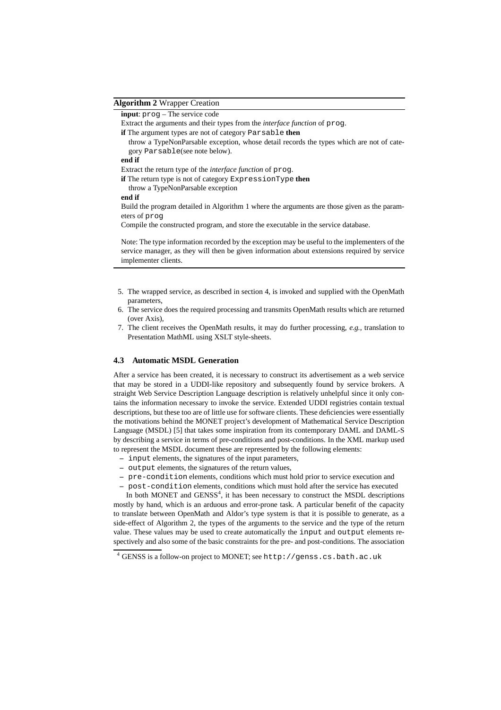| <b>Algorithm 2 Wrapper Creation</b> |  |  |
|-------------------------------------|--|--|
|-------------------------------------|--|--|

**input**: prog – The service code

Extract the arguments and their types from the *interface function* of prog.

- **if** The argument types are not of category Parsable **then**
	- throw a TypeNonParsable exception, whose detail records the types which are not of category Parsable(see note below).

**end if**

Extract the return type of the *interface function* of prog.

**if** The return type is not of category ExpressionType **then**

throw a TypeNonParsable exception

#### **end if**

Build the program detailed in Algorithm 1 where the arguments are those given as the parameters of prog

Compile the constructed program, and store the executable in the service database.

Note: The type information recorded by the exception may be useful to the implementers of the service manager, as they will then be given information about extensions required by service implementer clients.

- 5. The wrapped service, as described in section 4, is invoked and supplied with the OpenMath parameters,
- 6. The service does the required processing and transmits OpenMath results which are returned (over Axis),
- 7. The client receives the OpenMath results, it may do further processing, *e.g.*, translation to Presentation MathML using XSLT style-sheets.

#### **4.3 Automatic MSDL Generation**

After a service has been created, it is necessary to construct its advertisement as a web service that may be stored in a UDDI-like repository and subsequently found by service brokers. A straight Web Service Description Language description is relatively unhelpful since it only contains the information necessary to invoke the service. Extended UDDI registries contain textual descriptions, but these too are of little use for software clients. These deficiencies were essentially the motivations behind the MONET project's development of Mathematical Service Description Language (MSDL) [5] that takes some inspiration from its contemporary DAML and DAML-S by describing a service in terms of pre-conditions and post-conditions. In the XML markup used to represent the MSDL document these are represented by the following elements:

- **–** input elements, the signatures of the input parameters,
- **–** output elements, the signatures of the return values,
- **–** pre-condition elements, conditions which must hold prior to service execution and
- **–** post-condition elements, conditions which must hold after the service has executed

In both MONET and GENSS<sup>4</sup>, it has been necessary to construct the MSDL descriptions mostly by hand, which is an arduous and error-prone task. A particular benefit of the capacity to translate between OpenMath and Aldor's type system is that it is possible to generate, as a side-effect of Algorithm 2, the types of the arguments to the service and the type of the return value. These values may be used to create automatically the input and output elements respectively and also some of the basic constraints for the pre- and post-conditions. The association

<sup>4</sup> GENSS is a follow-on project to MONET; see http://genss.cs.bath.ac.uk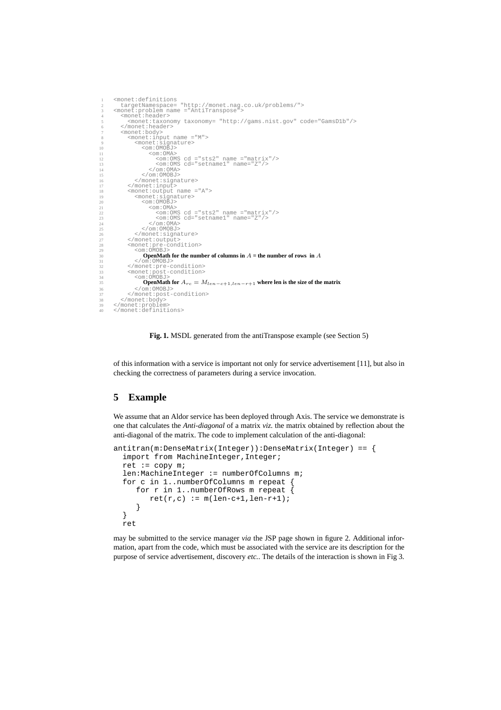```
1 <monet:definitions
2 targetNamespace= "http://monet.nag.co.uk/problems/">
3 <monet:problem name ="AntiTranspose">
4 <monet:header>
 5 <monet:taxonomy taxonomy= "http://gams.nist.gov" code="GamsD1b"/>
6 </monet:header>
 7 <monet:body>
8 <monet:input name ="M">
9 <monet:signature><br>
10 <m:0MOBJ>
11 <om: 0MA><br>
11 <om: 0MA><br>
12 <om: 0M
12 <om:OMS cd ="sts2" name ="matrix"/><br>
<om:OMS cd="setname1" name="Z"/>
14 </om:OMA><br>
15 </om:OMOBJ><br>
16 </monet:signature>
17 </monet:input><br>
<monet:output name ="A"><br>
-«monet:signature><br>
20 <om:OMOBJ>
21 <om: OMA<br>
22 <om: OMA<br>
23 <om: OM<br>
24 </om: OM
22 <om:OMS cd ="sts2" name ="matrix"/>
23 <om:OMS cd="setname1" name="Z"/>
24 </om:OMA><br>
25<br>
26 </om:OMOBJ><br>
26 </om:OMOBJ><br>
27 </monet:signa<br>
27 </monet:signa<br>
28 <monet:pre-cond<br>
30 OpenMath for
25 </om:OMOBJ><br>
26 </monet:signature>
27 </monet:output>
28 <monet:pre-condition>
29 <om:OMOBJ>
30 OpenMath for the number of columns in A = the number of rows in A
31 </om:OMOBJ>
32 </monet:pre-condition>
33 <monet:post-condition>
34 <om:OMOBJ>
31 <br>
2000 c/monet:pre-condition><br>
33 <monet:post-condition><br>
34 OpenMath for A_{rc} = M_{len-c+1, len-r+1} where len is the size of the matrix<br>
36 </mn:OMOBJ><br>
37 </mn:OMOBJ><br>
2000 condition>
36 </om:OMOBJ>
37 </monet:post-condition>
38 </monet:body>
39 </monet:problem>
40 </monet:definitions>
```


of this information with a service is important not only for service advertisement [11], but also in checking the correctness of parameters during a service invocation.

# **5 Example**

We assume that an Aldor service has been deployed through Axis. The service we demonstrate is one that calculates the *Anti-diagonal* of a matrix *viz.* the matrix obtained by reflection about the anti-diagonal of the matrix. The code to implement calculation of the anti-diagonal:

```
antitran(m:DenseMatrix(Integer)):DenseMatrix(Integer) == {
 import from MachineInteger, Integer;
  ret := copy m;
  len:MachineInteger := numberOfColumns m;
  for c in 1..numberOfColumns m repeat
     for r in 1..numberOfRows m repeat {
        ret(r,c) := m(len-c+1,len-r+1);}
  }
 ret
```
may be submitted to the service manager *via* the JSP page shown in figure 2. Additional information, apart from the code, which must be associated with the service are its description for the purpose of service advertisement, discovery *etc.*. The details of the interaction is shown in Fig 3.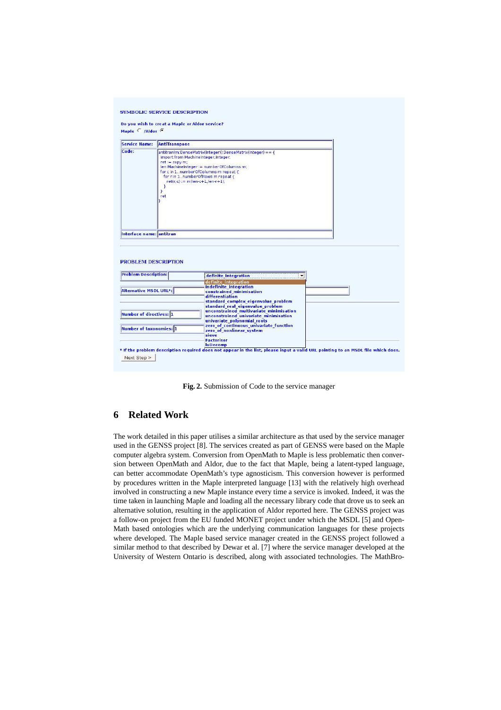

**Fig. 2.** Submission of Code to the service manager

# **6 Related Work**

The work detailed in this paper utilises a similar architecture as that used by the service manager used in the GENSS project [8]. The services created as part of GENSS were based on the Maple computer algebra system. Conversion from OpenMath to Maple is less problematic then conversion between OpenMath and Aldor, due to the fact that Maple, being a latent-typed language, can better accommodate OpenMath's type agnosticism. This conversion however is performed by procedures written in the Maple interpreted language [13] with the relatively high overhead involved in constructing a new Maple instance every time a service is invoked. Indeed, it was the time taken in launching Maple and loading all the necessary library code that drove us to seek an alternative solution, resulting in the application of Aldor reported here. The GENSS project was a follow-on project from the EU funded MONET project under which the MSDL [5] and Open-Math based ontologies which are the underlying communication languages for these projects where developed. The Maple based service manager created in the GENSS project followed a similar method to that described by Dewar et al. [7] where the service manager developed at the University of Western Ontario is described, along with associated technologies. The MathBro-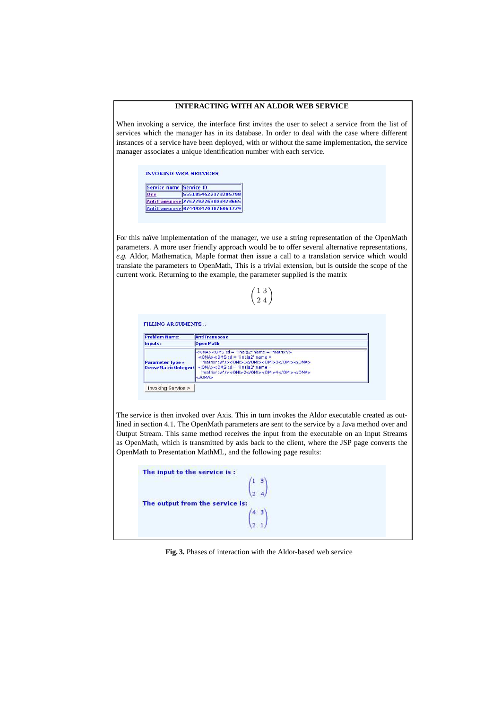### **INTERACTING WITH AN ALDOR WEB SERVICE**

When invoking a service, the interface first invites the user to select a service from the list of services which the manager has in its database. In order to deal with the case where different instances of a service have been deployed, with or without the same implementation, the service manager associates a unique identification number with each service.

**INVOKING WEB SERVICES** Service name Service ID 5551854522373285798  $\overline{\text{One}}$ AntiTranspose 7767292263003423665 AntiTranspose 3744934201876061779

For this naïve implementation of the manager, we use a string representation of the OpenMath parameters. A more user friendly approach would be to offer several alternative representations, *e.g.* Aldor, Mathematica, Maple format then issue a call to a translation service which would translate the parameters to OpenMath, This is a trivial extension, but is outside the scope of the current work. Returning to the example, the parameter supplied is the matrix

 $\sqrt{13}$ 2 4  $\setminus$ 

| <b>Problem Name:</b>                            | AntiTranspose                                                                                                                                                                                                                  |  |
|-------------------------------------------------|--------------------------------------------------------------------------------------------------------------------------------------------------------------------------------------------------------------------------------|--|
| In puts:                                        | <b>OpenMath</b>                                                                                                                                                                                                                |  |
| <b>Parameter Type -</b><br>DenseMatrix(Integer) | <0MA> <oms cd="linalg2" name="matrix"></oms><br>$<$ OMA $>$ $<$ OMS cd = "linalg2" name =<br>"matrixrow"/> <omi>1</omi> <omi>3</omi><br><0MA><0MS cd = "linalg2" name =<br>matrixrow"/> <omi>2</omi> <omi>4</omi><br>$<$ /OMA> |  |
| Invoking Service >                              |                                                                                                                                                                                                                                |  |

The service is then invoked over Axis. This in turn invokes the Aldor executable created as outlined in section 4.1. The OpenMath parameters are sent to the service by a Java method over and Output Stream. This same method receives the input from the executable on an Input Streams as OpenMath, which is transmitted by axis back to the client, where the JSP page converts the OpenMath to Presentation MathML, and the following page results:

| The input to the service is:<br>a matematika musiki kwa m |  |
|-----------------------------------------------------------|--|
|                                                           |  |
|                                                           |  |
| The output from the service is:                           |  |
|                                                           |  |
|                                                           |  |
|                                                           |  |

**Fig. 3.** Phases of interaction with the Aldor-based web service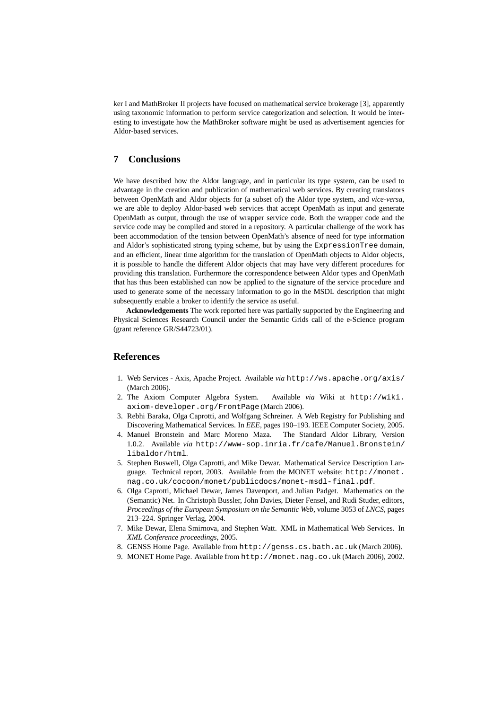ker I and MathBroker II projects have focused on mathematical service brokerage [3], apparently using taxonomic information to perform service categorization and selection. It would be interesting to investigate how the MathBroker software might be used as advertisement agencies for Aldor-based services.

# **7 Conclusions**

We have described how the Aldor language, and in particular its type system, can be used to advantage in the creation and publication of mathematical web services. By creating translators between OpenMath and Aldor objects for (a subset of) the Aldor type system, and *vice-versa*, we are able to deploy Aldor-based web services that accept OpenMath as input and generate OpenMath as output, through the use of wrapper service code. Both the wrapper code and the service code may be compiled and stored in a repository. A particular challenge of the work has been accommodation of the tension between OpenMath's absence of need for type information and Aldor's sophisticated strong typing scheme, but by using the ExpressionTree domain, and an efficient, linear time algorithm for the translation of OpenMath objects to Aldor objects, it is possible to handle the different Aldor objects that may have very different procedures for providing this translation. Furthermore the correspondence between Aldor types and OpenMath that has thus been established can now be applied to the signature of the service procedure and used to generate some of the necessary information to go in the MSDL description that might subsequently enable a broker to identify the service as useful.

**Acknowledgements** The work reported here was partially supported by the Engineering and Physical Sciences Research Council under the Semantic Grids call of the e-Science program (grant reference GR/S44723/01).

## **References**

- 1. Web Services Axis, Apache Project. Available *via* http://ws.apache.org/axis/ (March 2006).
- 2. The Axiom Computer Algebra System. Available *via* Wiki at http://wiki. axiom-developer.org/FrontPage (March 2006).
- 3. Rebhi Baraka, Olga Caprotti, and Wolfgang Schreiner. A Web Registry for Publishing and Discovering Mathematical Services. In *EEE*, pages 190–193. IEEE Computer Society, 2005.
- 4. Manuel Bronstein and Marc Moreno Maza. The Standard Aldor Library, Version 1.0.2. Available *via* http://www-sop.inria.fr/cafe/Manuel.Bronstein/ libaldor/html.
- 5. Stephen Buswell, Olga Caprotti, and Mike Dewar. Mathematical Service Description Language. Technical report, 2003. Available from the MONET website: http://monet. nag.co.uk/cocoon/monet/publicdocs/monet-msdl-final.pdf.
- 6. Olga Caprotti, Michael Dewar, James Davenport, and Julian Padget. Mathematics on the (Semantic) Net. In Christoph Bussler, John Davies, Dieter Fensel, and Rudi Studer, editors, *Proceedings of the European Symposium on the Semantic Web*, volume 3053 of *LNCS*, pages 213–224. Springer Verlag, 2004.
- 7. Mike Dewar, Elena Smirnova, and Stephen Watt. XML in Mathematical Web Services. In *XML Conference proceedings*, 2005.
- 8. GENSS Home Page. Available from http://genss.cs.bath.ac.uk (March 2006).
- 9. MONET Home Page. Available from http://monet.nag.co.uk (March 2006), 2002.